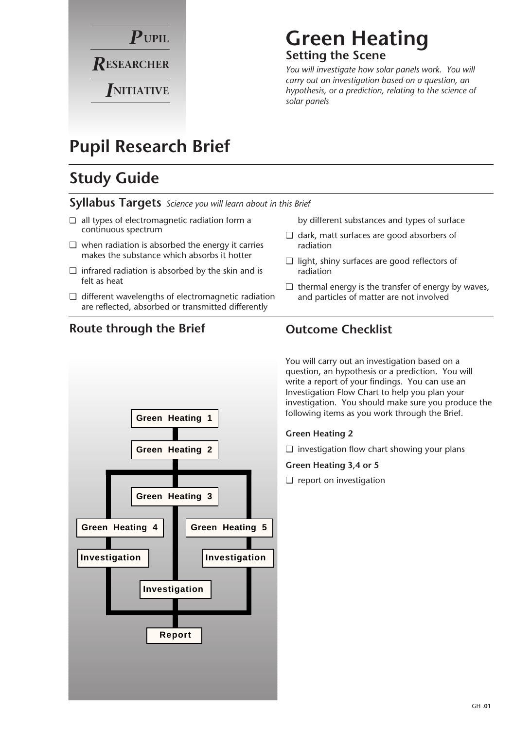

### **Green Heating Setting the Scene**

*You will investigate how solar panels work. You will carry out an investigation based on a question, an hypothesis, or a prediction, relating to the science of solar panels*

### **Pupil Research Brief**

### **Study Guide**

**Syllabus Targets** *Science you will learn about in this Brief*

- ❏ all types of electromagnetic radiation form a continuous spectrum
- ❏ when radiation is absorbed the energy it carries makes the substance which absorbs it hotter
- ❏ infrared radiation is absorbed by the skin and is felt as heat
- ❏ different wavelengths of electromagnetic radiation are reflected, absorbed or transmitted differently

### **Route through the Brief**

**Green Heating 1 Green Heating 2 Green Heating 3 Green Heating 4 Green Heating 5 Investigation Investigation Investigation Report**

by different substances and types of surface

- ❏ dark, matt surfaces are good absorbers of radiation
- ❏ light, shiny surfaces are good reflectors of radiation
- ❏ thermal energy is the transfer of energy by waves, and particles of matter are not involved

### **Outcome Checklist**

You will carry out an investigation based on a question, an hypothesis or a prediction. You will write a report of your findings. You can use an Investigation Flow Chart to help you plan your investigation. You should make sure you produce the following items as you work through the Brief.

#### **Green Heating 2**

❏ investigation flow chart showing your plans

**Green Heating 3,4 or 5**

❏ report on investigation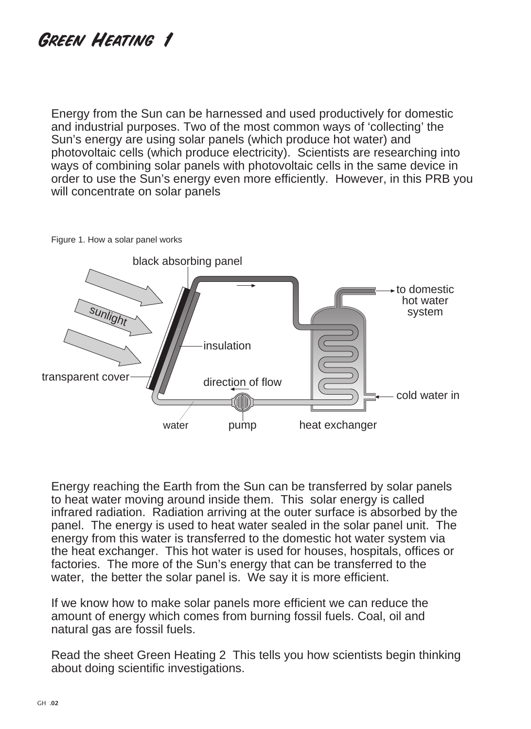## **GREEN HEATING 1**

Energy from the Sun can be harnessed and used productively for domestic and industrial purposes. Two of the most common ways of 'collecting' the Sun's energy are using solar panels (which produce hot water) and photovoltaic cells (which produce electricity). Scientists are researching into ways of combining solar panels with photovoltaic cells in the same device in order to use the Sun's energy even more efficiently. However, in this PRB you will concentrate on solar panels



Figure 1. How a solar panel works

Energy reaching the Earth from the Sun can be transferred by solar panels to heat water moving around inside them. This solar energy is called infrared radiation. Radiation arriving at the outer surface is absorbed by the panel. The energy is used to heat water sealed in the solar panel unit. The energy from this water is transferred to the domestic hot water system via the heat exchanger. This hot water is used for houses, hospitals, offices or factories. The more of the Sun's energy that can be transferred to the water, the better the solar panel is. We say it is more efficient.

If we know how to make solar panels more efficient we can reduce the amount of energy which comes from burning fossil fuels. Coal, oil and natural gas are fossil fuels.

Read the sheet Green Heating 2 This tells you how scientists begin thinking about doing scientific investigations.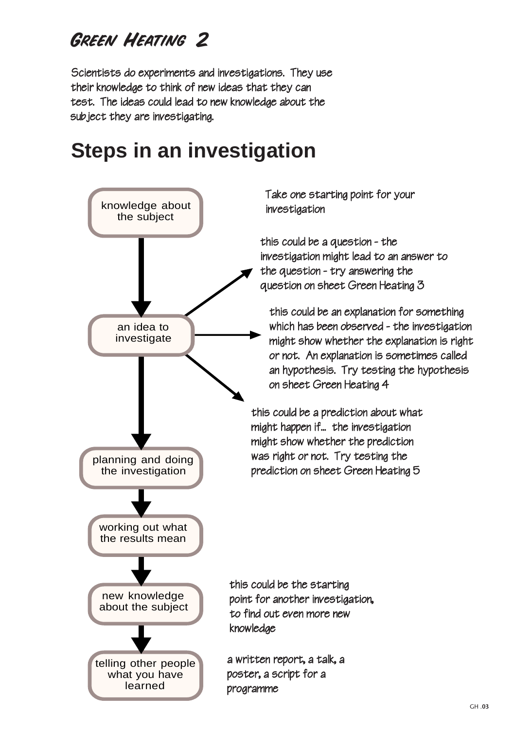## **GREEN HEATING 2**

Scientists do experiments and investigations. They use their knowledge to think of new ideas that they can test. The ideas could lead to new knowledge about the subject they are investigating.

# **Steps in an investigation**

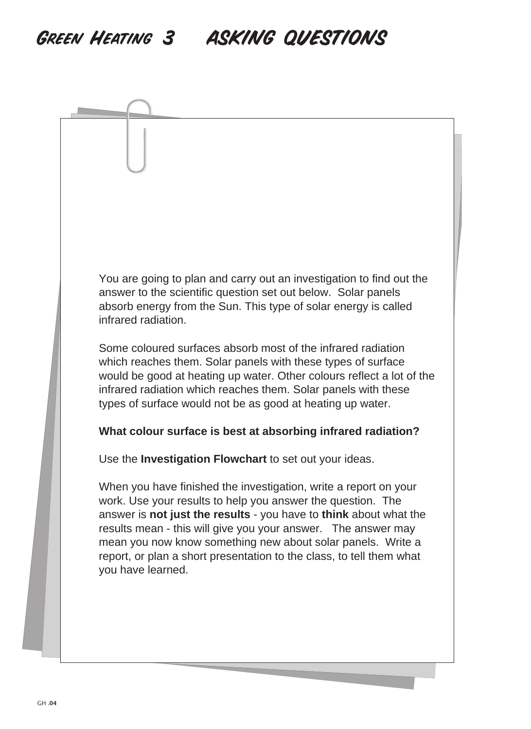## GREEN HEATING 3 ASKING QUESTIONS

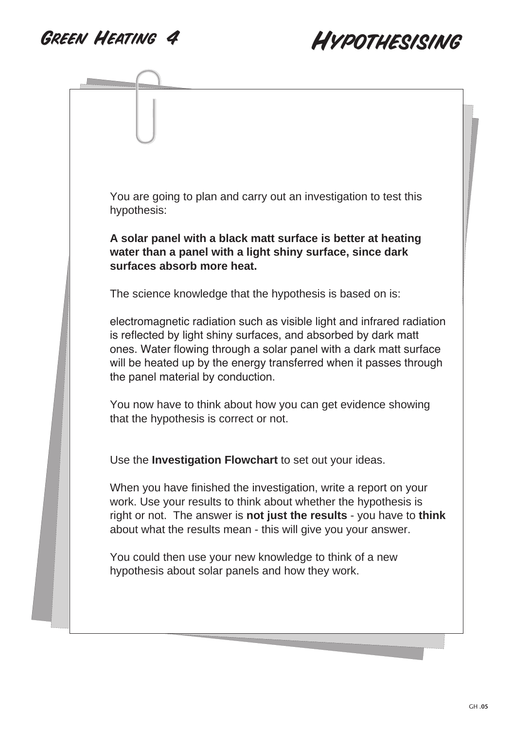